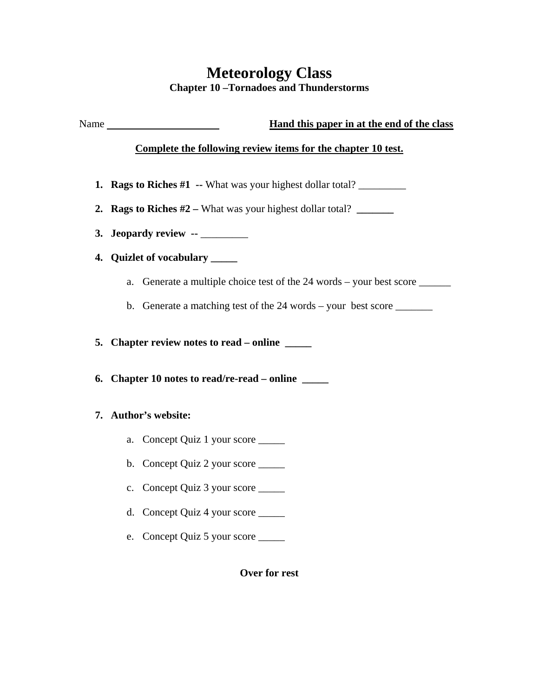## **Meteorology Class Chapter 10 –Tornadoes and Thunderstorms**

Name **Hand this paper in at the end of the class** 

## **Complete the following review items for the chapter 10 test.**

- **1. Rags to Riches #1 --** What was your highest dollar total? \_\_\_\_\_\_\_\_\_\_\_\_\_\_\_\_\_\_\_\_
- **2. Rags to Riches #2** What was your highest dollar total? **\_\_\_\_\_\_\_**
- **3. Jeopardy review --** \_\_\_\_\_\_\_\_\_
- **4. Quizlet of vocabulary \_\_\_\_\_** 
	- a. Generate a multiple choice test of the 24 words your best score \_\_\_\_\_\_\_\_\_\_\_
	- b. Generate a matching test of the 24 words your best score \_\_\_\_\_\_\_\_\_
- **5. Chapter review notes to read online \_\_\_\_\_**
- **6. Chapter 10 notes to read/re-read online \_\_\_\_\_**

## **7. Author's website:**

- a. Concept Quiz 1 your score \_\_\_\_\_
- b. Concept Quiz 2 your score \_\_\_\_\_
- c. Concept Quiz 3 your score \_\_\_\_\_
- d. Concept Quiz 4 your score \_\_\_\_\_
- e. Concept Quiz 5 your score \_\_\_\_\_

**Over for rest**